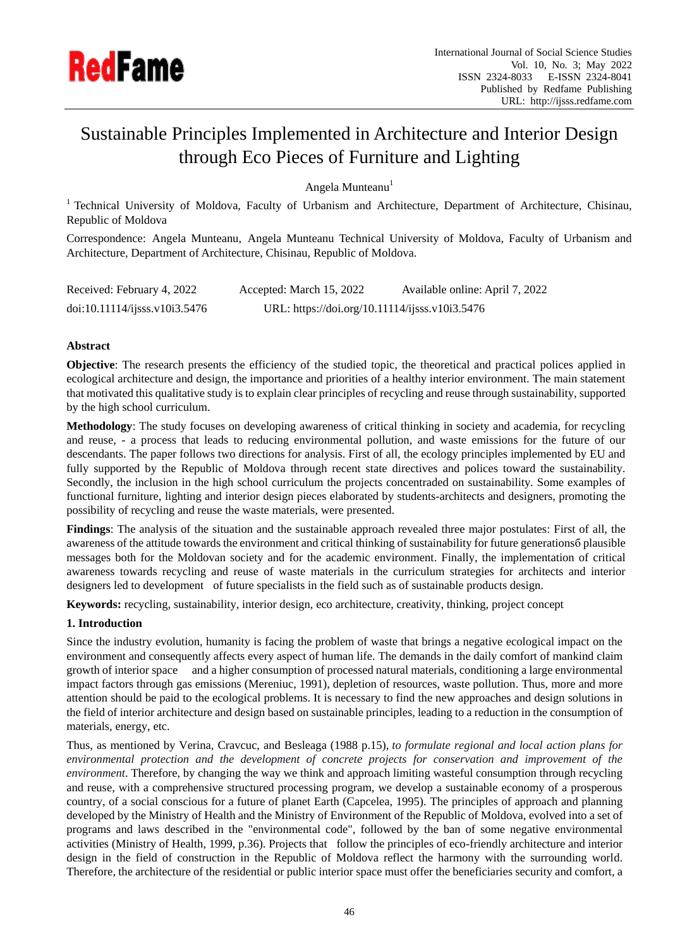

# Sustainable Principles Implemented in Architecture and Interior Design through Eco Pieces of Furniture and Lighting

Angela Munteanu<sup>1</sup>

<sup>1</sup> Technical University of Moldova, Faculty of Urbanism and Architecture, Department of Architecture, Chisinau, Republic of Moldova

Correspondence: Angela Munteanu, Angela Munteanu Technical University of Moldova, Faculty of Urbanism and Architecture, Department of Architecture, Chisinau, Republic of Moldova.

| Received: February 4, 2022    | Accepted: March 15, 2022                       | Available online: April 7, 2022 |
|-------------------------------|------------------------------------------------|---------------------------------|
| doi:10.11114/ijsss.v10i3.5476 | URL: https://doi.org/10.11114/ijsss.v10i3.5476 |                                 |

## **Abstract**

**Objective**: The research presents the efficiency of the studied topic, the theoretical and practical polices applied in ecological architecture and design, the importance and priorities of a healthy interior environment. The main statement that motivated this qualitative study is to explain clear principles of recycling and reuse through sustainability, supported by the high school curriculum.

**Methodology**: The study focuses on developing awareness of critical thinking in society and academia, for recycling and reuse, - a process that leads to reducing environmental pollution, and waste emissions for the future of our descendants. The paper follows two directions for analysis. First of all, the ecology principles implemented by EU and fully supported by the Republic of Moldova through recent state directives and polices toward the sustainability. Secondly, the inclusion in the high school curriculum the projects concentraded on sustainability. Some examples of functional furniture, lighting and interior design pieces elaborated by students-architects and designers, promoting the possibility of recycling and reuse the waste materials, were presented.

**Findings**: The analysis of the situation and the sustainable approach revealed three major postulates: First of all, the awareness of the attitude towards the environment and critical thinking of sustainability for future generationsб plausible messages both for the Moldovan society and for the academic environment. Finally, the implementation of critical awareness towards recycling and reuse of waste materials in the curriculum strategies for architects and interior designers led to development of future specialists in the field such as of sustainable products design.

**Keywords:** recycling, sustainability, interior design, eco architecture, creativity, thinking, project concept

# **1. Introduction**

Since the industry evolution, humanity is facing the problem of waste that brings a negative ecological impact on the environment and consequently affects every aspect of human life. The demands in the daily comfort of mankind claim growth of interior space and a higher consumption of processed natural materials, conditioning a large environmental impact factors through gas emissions (Mereniuc, 1991), depletion of resources, waste pollution. Thus, more and more attention should be paid to the ecological problems. It is necessary to find the new approaches and design solutions in the field of interior architecture and design based on sustainable principles, leading to a reduction in the consumption of materials, energy, etc.

Thus, as mentioned by Verina, Cravcuc, and Besleaga (1988 p.15), *to formulate regional and local action plans for environmental protection and the development of concrete projects for conservation and improvement of the environment*. Therefore, by changing the way we think and approach limiting wasteful consumption through recycling and reuse, with a comprehensive structured processing program, we develop a sustainable economy of a prosperous country, of a social conscious for a future of planet Earth (Capcelea, 1995). The principles of approach and planning developed by the Ministry of Health and the Ministry of Environment of the Republic of Moldova, evolved into a set of programs and laws described in the "environmental code", followed by the ban of some negative environmental activities (Ministry of Health, 1999, p.36). Projects that follow the principles of eco-friendly architecture and interior design in the field of construction in the Republic of Moldova reflect the harmony with the surrounding world. Therefore, the architecture of the residential or public interior space must offer the beneficiaries security and comfort, a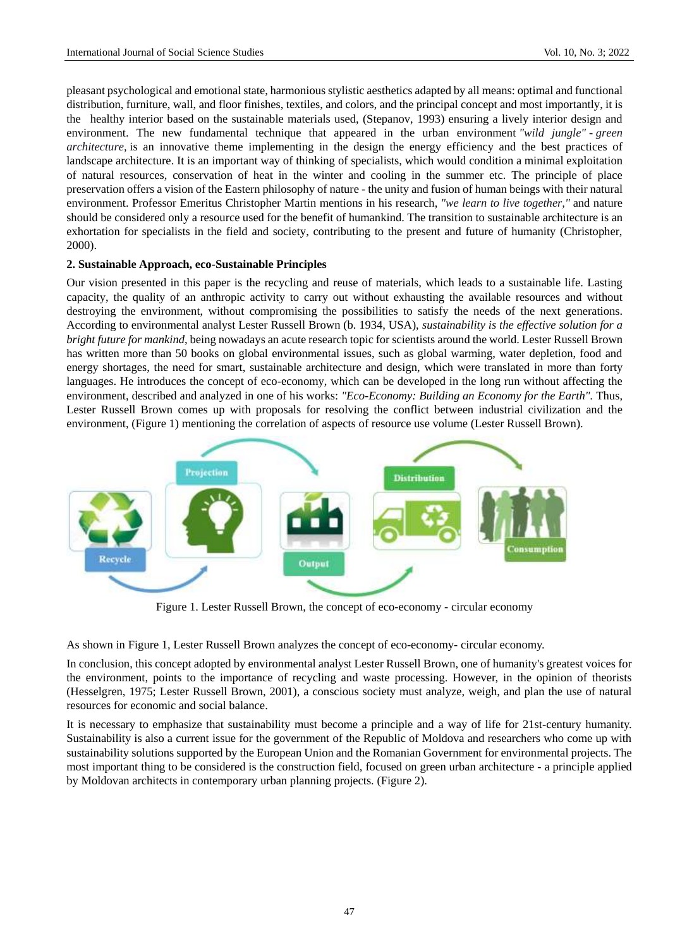pleasant psychological and emotional state, harmonious stylistic aesthetics adapted by all means: optimal and functional distribution, furniture, wall, and floor finishes, textiles, and colors, and the principal concept and most importantly, it is the healthy interior based on the sustainable materials used, (Stepanov, 1993) ensuring a lively interior design and environment. The new fundamental technique that appeared in the urban environment *"wild jungle"* - *green architecture*, is an innovative theme implementing in the design the energy efficiency and the best practices of landscape architecture. It is an important way of thinking of specialists, which would condition a minimal exploitation of natural resources, conservation of heat in the winter and cooling in the summer etc. The principle of place preservation offers a vision of the Eastern philosophy of nature - the unity and fusion of human beings with their natural environment. Professor Emeritus Christopher Martin mentions in his research, *"we learn to live together,"* and nature should be considered only a resource used for the benefit of humankind. The transition to sustainable architecture is an exhortation for specialists in the field and society, contributing to the present and future of humanity (Christopher, 2000).

## **2. Sustainable Approach, eco-Sustainable Principles**

Our vision presented in this paper is the recycling and reuse of materials, which leads to a sustainable life. Lasting capacity, the quality of an anthropic activity to carry out without exhausting the available resources and without destroying the environment, without compromising the possibilities to satisfy the needs of the next generations. According to environmental analyst Lester Russell Brown (b. 1934, USA), *sustainability is the effective solution for a bright future for mankind*, being nowadays an acute research topic for scientists around the world. Lester Russell Brown has written more than 50 books on global environmental issues, such as global warming, water depletion, food and energy shortages, the need for smart, sustainable architecture and design, which were translated in more than forty languages. He introduces the concept of eco-economy, which can be developed in the long run without affecting the environment, described and analyzed in one of his works: *"Eco-Economy: Building an Economy for the Earth".* Thus, Lester Russell Brown comes up with proposals for resolving the conflict between industrial civilization and the environment, (Figure 1) mentioning the correlation of aspects of resource use volume (Lester Russell Brown).



Figure 1. Lester Russell Brown, the concept of eco-economy - circular economy

As shown in Figure 1, Lester Russell Brown analyzes the concept of eco-economy- circular economy.

In conclusion, this concept adopted by environmental analyst Lester Russell Brown, one of humanity's greatest voices for the environment, points to the importance of recycling and waste processing. However, in the opinion of theorists (Hesselgren, 1975; Lester Russell Brown, 2001), a conscious society must analyze, weigh, and plan the use of natural resources for economic and social balance.

It is necessary to emphasize that sustainability must become a principle and a way of life for 21st-century humanity. Sustainability is also a current issue for the government of the Republic of Moldova and researchers who come up with sustainability solutions supported by the European Union and the Romanian Government for environmental projects. The most important thing to be considered is the construction field, focused on green urban architecture - a principle applied by Moldovan architects in contemporary urban planning projects. (Figure 2).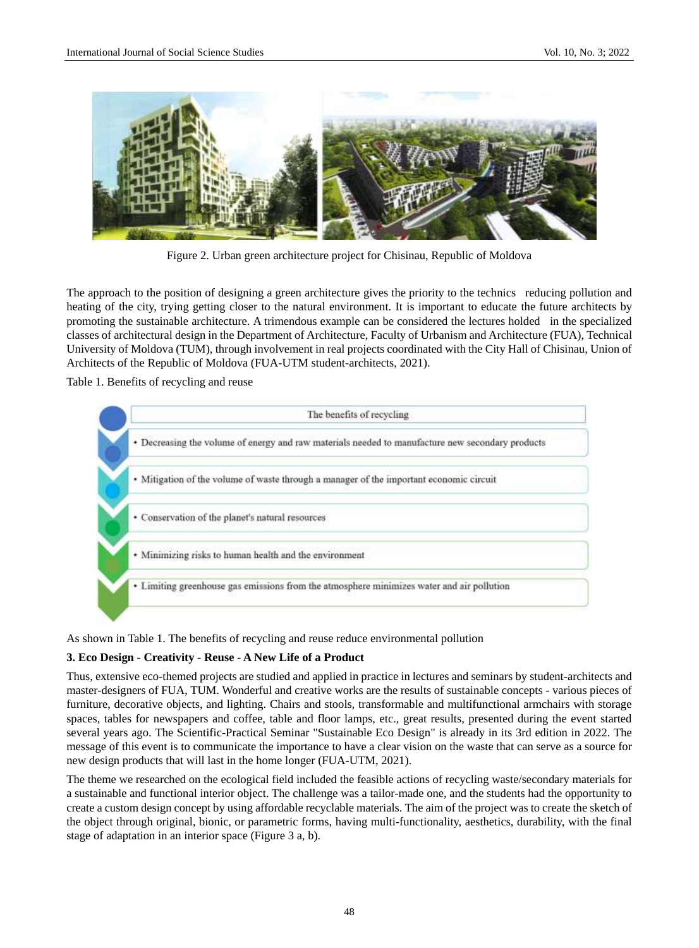

Figure 2. Urban green architecture project for Chisinau, Republic of Moldova

The approach to the position of designing a green architecture gives the priority to the technics reducing pollution and heating of the city, trying getting closer to the natural environment. It is important to educate the future architects by promoting the sustainable architecture. A trimendous example can be considered the lectures holded in the specialized classes of architectural design in the Department of Architecture, Faculty of Urbanism and Architecture (FUA), Technical University of Moldova (TUM), through involvement in real projects coordinated with the City Hall of Chisinau, Union of Architects of the Republic of Moldova (FUA-UTM student-architects, 2021).

Table 1. Benefits of recycling and reuse



As shown in Table 1. The benefits of recycling and reuse reduce environmental pollution

# **3. Eco Design - Creativity - Reuse - A New Life of a Product**

Thus, extensive eco-themed projects are studied and applied in practice in lectures and seminars by student-architects and master-designers of FUA, TUM. Wonderful and creative works are the results of sustainable concepts - various pieces of furniture, decorative objects, and lighting. Chairs and stools, transformable and multifunctional armchairs with storage spaces, tables for newspapers and coffee, table and floor lamps, etc., great results, presented during the event started several years ago. The Scientific-Practical Seminar "Sustainable Eco Design" is already in its 3rd edition in 2022. The message of this event is to communicate the importance to have a clear vision on the waste that can serve as a source for new design products that will last in the home longer (FUA-UTM, 2021).

The theme we researched on the ecological field included the feasible actions of recycling waste/secondary materials for a sustainable and functional interior object. The challenge was a tailor-made one, and the students had the opportunity to create a custom design concept by using affordable recyclable materials. The aim of the project was to create the sketch of the object through original, bionic, or parametric forms, having multi-functionality, aesthetics, durability, with the final stage of adaptation in an interior space (Figure 3 a, b).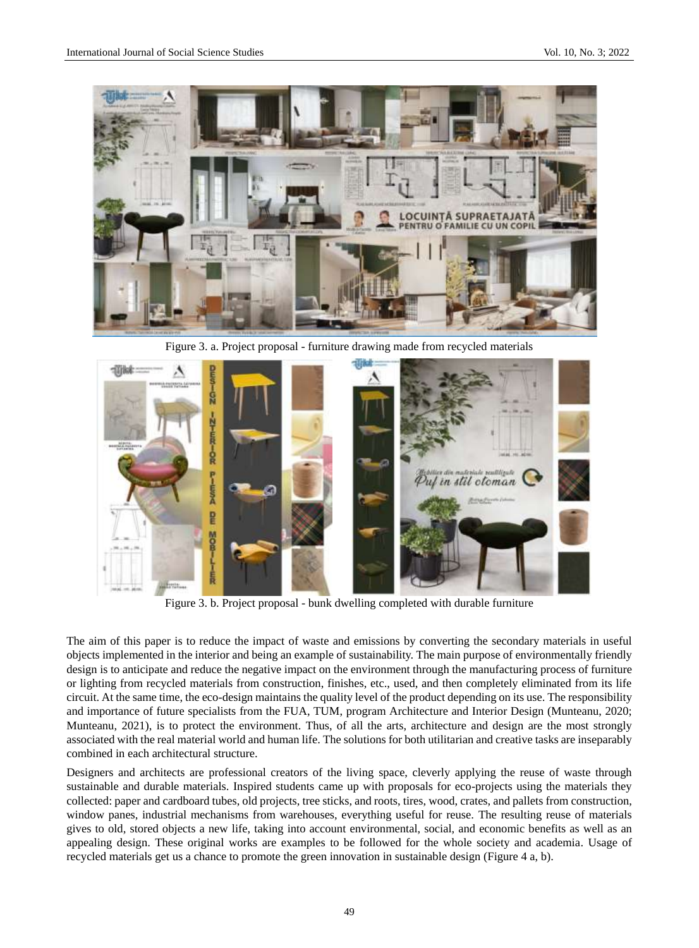

Figure 3. a. Project proposal - furniture drawing made from recycled materials



Figure 3. b. Project proposal - bunk dwelling completed with durable furniture

The aim of this paper is to reduce the impact of waste and emissions by converting the secondary materials in useful objects implemented in the interior and being an example of sustainability. The main purpose of environmentally friendly design is to anticipate and reduce the negative impact on the environment through the manufacturing process of furniture or lighting from recycled materials from construction, finishes, etc., used, and then completely eliminated from its life circuit. At the same time, the eco-design maintains the quality level of the product depending on its use. The responsibility and importance of future specialists from the FUA, TUM, program Architecture and Interior Design (Munteanu, 2020; Munteanu, 2021), is to protect the environment. Thus, of all the arts, architecture and design are the most strongly associated with the real material world and human life. The solutions for both utilitarian and creative tasks are inseparably combined in each architectural structure.

Designers and architects are professional creators of the living space, cleverly applying the reuse of waste through sustainable and durable materials. Inspired students came up with proposals for eco-projects using the materials they collected: paper and cardboard tubes, old projects, tree sticks, and roots, tires, wood, crates, and pallets from construction, window panes, industrial mechanisms from warehouses, everything useful for reuse. The resulting reuse of materials gives to old, stored objects a new life, taking into account environmental, social, and economic benefits as well as an appealing design. These original works are examples to be followed for the whole society and academia. Usage of recycled materials get us a chance to promote the green innovation in sustainable design (Figure 4 a, b).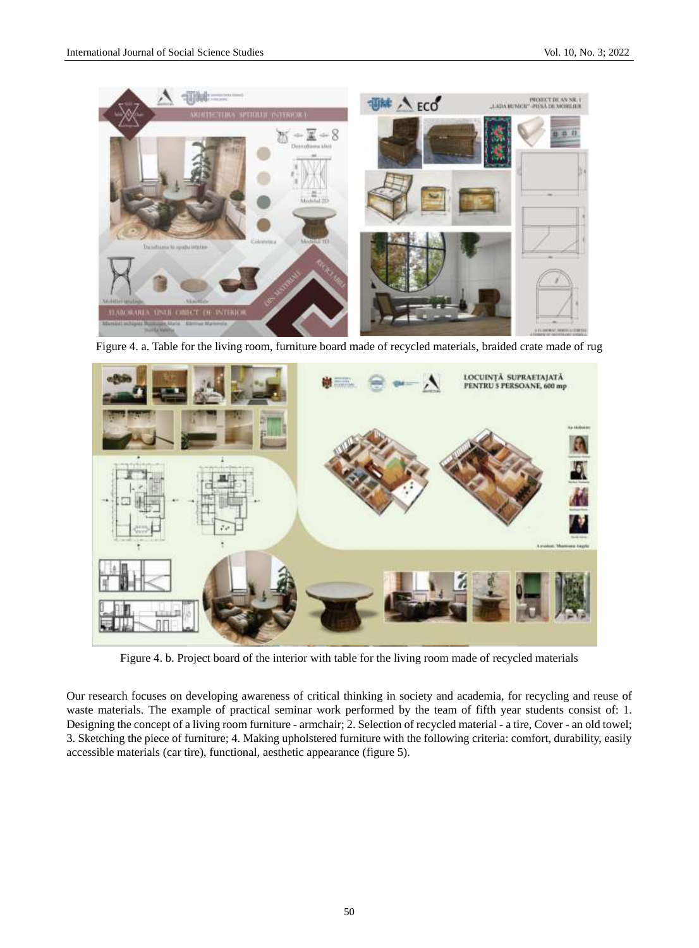

Figure 4. a. Table for the living room, furniture board made of recycled materials, braided crate made of rug



Figure 4. b. Project board of the interior with table for the living room made of recycled materials

Our research focuses on developing awareness of critical thinking in society and academia, for recycling and reuse of waste materials. The example of practical seminar work performed by the team of fifth year students consist of: 1. Designing the concept of a living room furniture - armchair; 2. Selection of recycled material - a tire, Cover - an old towel; 3. Sketching the piece of furniture; 4. Making upholstered furniture with the following criteria: comfort, durability, easily accessible materials (car tire), functional, aesthetic appearance (figure 5).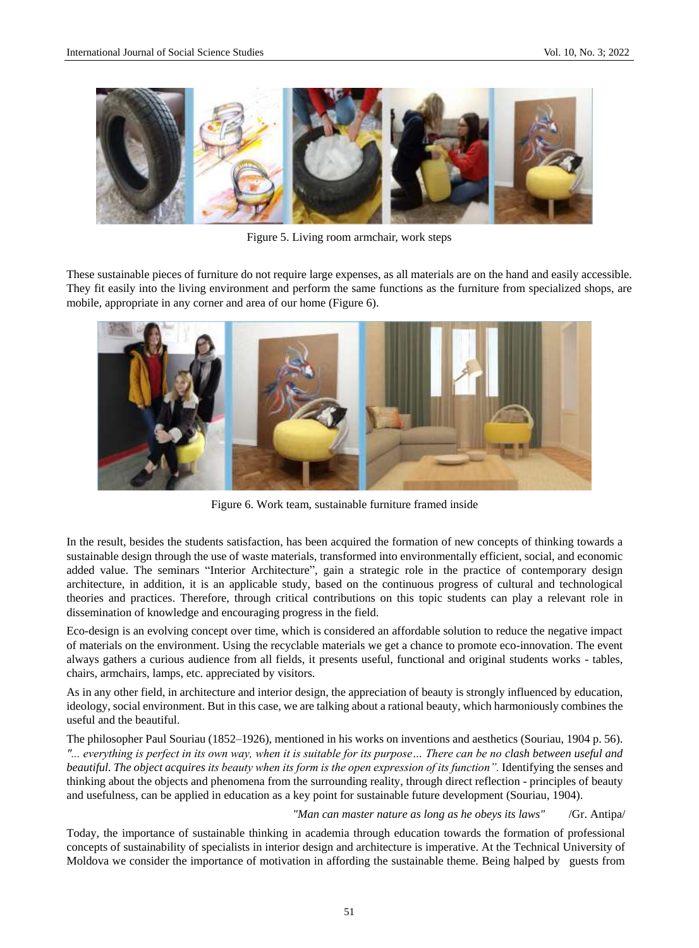

Figure 5. Living room armchair, work steps

These sustainable pieces of furniture do not require large expenses, as all materials are on the hand and easily accessible. They fit easily into the living environment and perform the same functions as the furniture from specialized shops, are mobile, appropriate in any corner and area of our home (Figure 6).



Figure 6. Work team, sustainable furniture framed inside

In the result, besides the students satisfaction, has been acquired the formation of new concepts of thinking towards a sustainable design through the use of waste materials, transformed into environmentally efficient, social, and economic added value. The seminars "Interior Architecture", gain a strategic role in the practice of contemporary design architecture, in addition, it is an applicable study, based on the continuous progress of cultural and technological theories and practices. Therefore, through critical contributions on this topic students can play a relevant role in dissemination of knowledge and encouraging progress in the field.

Eco-design is an evolving concept over time, which is considered an affordable solution to reduce the negative impact of materials on the environment. Using the recyclable materials we get a chance to promote eco-innovation. The event always gathers a curious audience from all fields, it presents useful, functional and original students works - tables, chairs, armchairs, lamps, etc. appreciated by visitors.

As in any other field, in architecture and interior design, the appreciation of beauty is strongly influenced by education, ideology, social environment. But in this case, we are talking about a rational beauty, which harmoniously combines the useful and the beautiful.

The philosopher Paul Souriau (1852–1926), mentioned in his works on inventions and aesthetics (Souriau, 1904 p. 56). *"... everything is perfect in its own way, when it is suitable for its purpose… There can be no clash between useful and beautiful. The object acquires its beauty when its form is the open expression of its function".* Identifying the senses and thinking about the objects and phenomena from the surrounding reality, through direct reflection - principles of beauty and usefulness, can be applied in education as a key point for sustainable future development (Souriau, 1904).

*"Man can master nature as long as he obeys its laws"* /Gr. Antipa/

Today, the importance of sustainable thinking in academia through education towards the formation of professional concepts of sustainability of specialists in interior design and architecture is imperative. At the Technical University of Moldova we consider the importance of motivation in affording the sustainable theme. Being halped by guests from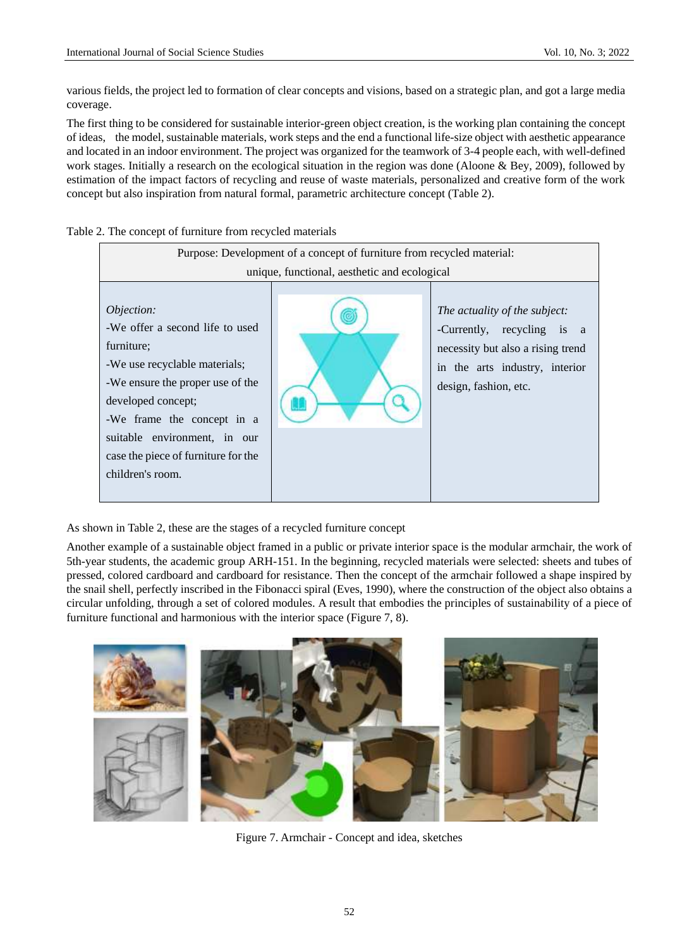various fields, the project led to formation of clear concepts and visions, based on a strategic plan, and got a large media coverage.

The first thing to be considered for sustainable interior-green object creation, is the working plan containing the concept of ideas, the model, sustainable materials, work steps and the end a functional life-size object with aesthetic appearance and located in an indoor environment. The project was organized for the teamwork of 3-4 people each, with well-defined work stages. Initially a research on the ecological situation in the region was done (Aloone & Bey, 2009), followed by estimation of the impact factors of recycling and reuse of waste materials, personalized and creative form of the work concept but also inspiration from natural formal, parametric architecture concept (Table 2).



Table 2. The concept of furniture from recycled materials

As shown in Table 2, these are the stages of a recycled furniture concept

Another example of a sustainable object framed in a public or private interior space is the modular armchair, the work of 5th-year students, the academic group ARH-151. In the beginning, recycled materials were selected: sheets and tubes of pressed, colored cardboard and cardboard for resistance. Then the concept of the armchair followed a shape inspired by the snail shell, perfectly inscribed in the Fibonacci spiral (Eves, 1990), where the construction of the object also obtains a circular unfolding, through a set of colored modules. A result that embodies the principles of sustainability of a piece of furniture functional and harmonious with the interior space (Figure 7, 8).



Figure 7. Armchair - Concept and idea, sketches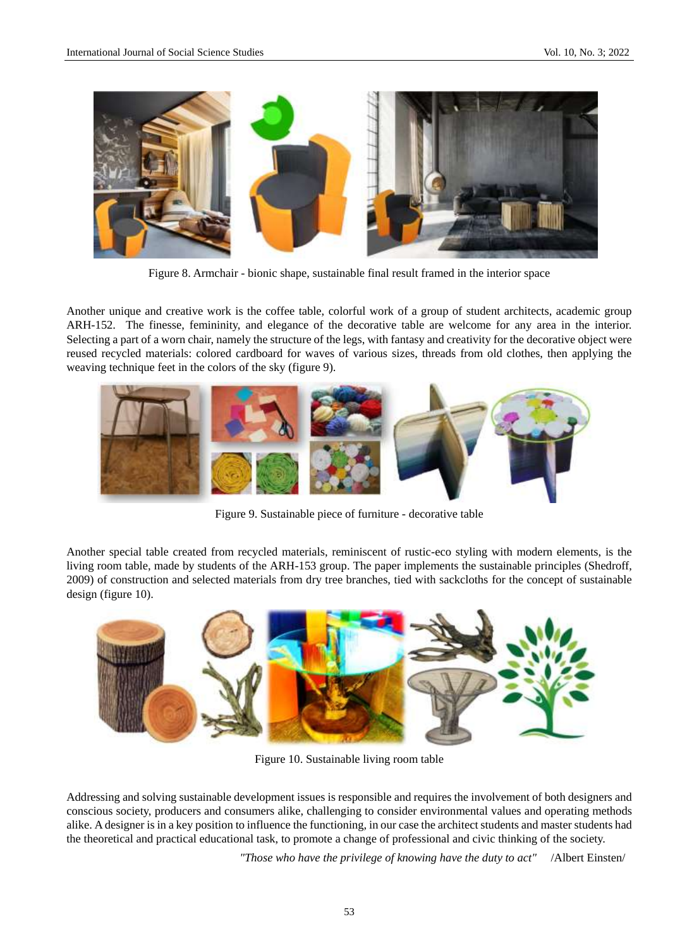

Figure 8. Armchair - bionic shape, sustainable final result framed in the interior space

Another unique and creative work is the coffee table, colorful work of a group of student architects, academic group ARH-152. The finesse, femininity, and elegance of the decorative table are welcome for any area in the interior. Selecting a part of a worn chair, namely the structure of the legs, with fantasy and creativity for the decorative object were reused recycled materials: colored cardboard for waves of various sizes, threads from old clothes, then applying the weaving technique feet in the colors of the sky (figure 9).



Figure 9. Sustainable piece of furniture - decorative table

Another special table created from recycled materials, reminiscent of rustic-eco styling with modern elements, is the living room table, made by students of the ARH-153 group. The paper implements the sustainable principles (Shedroff, 2009) of construction and selected materials from dry tree branches, tied with sackcloths for the concept of sustainable design (figure 10).



Figure 10. Sustainable living room table

Addressing and solving sustainable development issues is responsible and requires the involvement of both designers and conscious society, producers and consumers alike, challenging to consider environmental values and operating methods alike. A designer is in a key position to influence the functioning, in our case the architect students and master students had the theoretical and practical educational task, to promote a change of professional and civic thinking of the society.

*"Those who have the privilege of knowing have the duty to act"* /Albert Einsten/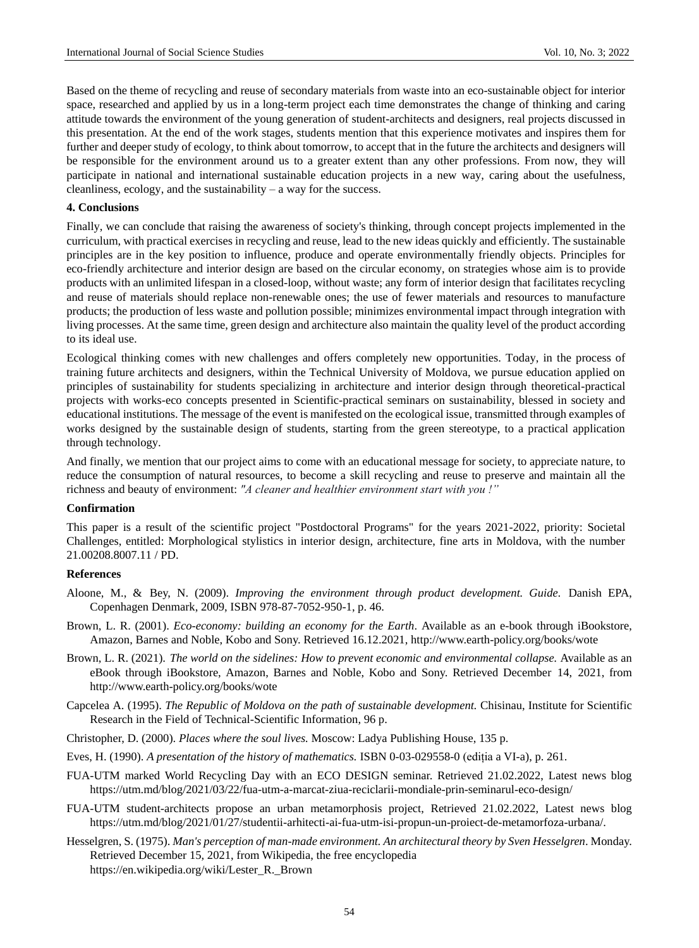Based on the theme of recycling and reuse of secondary materials from waste into an eco-sustainable object for interior space, researched and applied by us in a long-term project each time demonstrates the change of thinking and caring attitude towards the environment of the young generation of student-architects and designers, real projects discussed in this presentation. At the end of the work stages, students mention that this experience motivates and inspires them for further and deeper study of ecology, to think about tomorrow, to accept that in the future the architects and designers will be responsible for the environment around us to a greater extent than any other professions. From now, they will participate in national and international sustainable education projects in a new way, caring about the usefulness, cleanliness, ecology, and the sustainability – a way for the success.

### **4. Conclusions**

Finally, we can conclude that raising the awareness of society's thinking, through concept projects implemented in the curriculum, with practical exercises in recycling and reuse, lead to the new ideas quickly and efficiently. The sustainable principles are in the key position to influence, produce and operate environmentally friendly objects. Principles for eco-friendly architecture and interior design are based on the circular economy, on strategies whose aim is to provide products with an unlimited lifespan in a closed-loop, without waste; any form of interior design that facilitates recycling and reuse of materials should replace non-renewable ones; the use of fewer materials and resources to manufacture products; the production of less waste and pollution possible; minimizes environmental impact through integration with living processes. At the same time, green design and architecture also maintain the quality level of the product according to its ideal use.

Ecological thinking comes with new challenges and offers completely new opportunities. Today, in the process of training future architects and designers, within the Technical University of Moldova, we pursue education applied on principles of sustainability for students specializing in architecture and interior design through theoretical-practical projects with works-eco concepts presented in Scientific-practical seminars on sustainability, blessed in society and educational institutions. The message of the event is manifested on the ecological issue, transmitted through examples of works designed by the sustainable design of students, starting from the green stereotype, to a practical application through technology.

And finally, we mention that our project aims to come with an educational message for society, to appreciate nature, to reduce the consumption of natural resources, to become a skill recycling and reuse to preserve and maintain all the richness and beauty of environment: *"A cleaner and healthier environment start with you !"*

#### **Confirmation**

This paper is a result of the scientific project "Postdoctoral Programs" for the years 2021-2022, priority: Societal Challenges, entitled: Morphological stylistics in interior design, architecture, fine arts in Moldova, with the number 21.00208.8007.11 / PD.

#### **References**

- Aloone, M., & Bey, N. (2009). *Improving the environment through product development. Guide.* Danish EPA, Copenhagen Denmark, 2009, ISBN 978-87-7052-950-1, p. 46.
- Brown, L. R. (2001). *Eco-economy: building an economy for the Earth*. Available as an e-book through iBookstore, Amazon, Barnes and Noble, Kobo and Sony. Retrieved 16.12.2021,<http://www.earth-policy.org/books/wote>
- Brown, L. R. (2021). *The world on the sidelines: How to prevent economic and environmental collapse.* Available as an eBook through iBookstore, Amazon, Barnes and Noble, Kobo and Sony. Retrieved December 14, 2021, from <http://www.earth-policy.org/books/wote>
- Capcelea A. (1995). *The Republic of Moldova on the path of sustainable development.* Chisinau, Institute for Scientific Research in the Field of Technical-Scientific Information, 96 p.
- Christopher, D. (2000). *Places where the soul lives.* Moscow: Ladya Publishing House, 135 p.
- Eves, H. (1990). *A presentation of the history of mathematics.* ISBN 0-03-029558-0 (ediția a VI-a), p. 261.
- FUA-UTM marked World Recycling Day with an ECO DESIGN seminar. Retrieved 21.02.2022, Latest news blog <https://utm.md/blog/2021/03/22/fua-utm-a-marcat-ziua-reciclarii-mondiale-prin-seminarul-eco-design/>
- FUA-UTM student-architects propose an urban metamorphosis project, Retrieved 21.02.2022, Latest news blog [https://utm.md/blog/2021/01/27/studentii-arhitecti-ai-fua-utm-isi-propun-un-proiect-de-metamorfoza-urbana/.](https://utm.md/blog/2021/01/27/studentii-arhitecti-ai-fua-utm-isi-propun-un-proiect-de-metamorfoza-urbana/)
- Hesselgren, S. (1975). *Man's perception of man-made environment. An architectural theory by Sven Hesselgren*. Monday. Retrieved December 15, 2021, from Wikipedia, the free encyclopedia [https://en.wikipedia.org/wiki/Lester\\_R.\\_Brown](https://en.wikipedia.org/wiki/Lester_R._Brown)